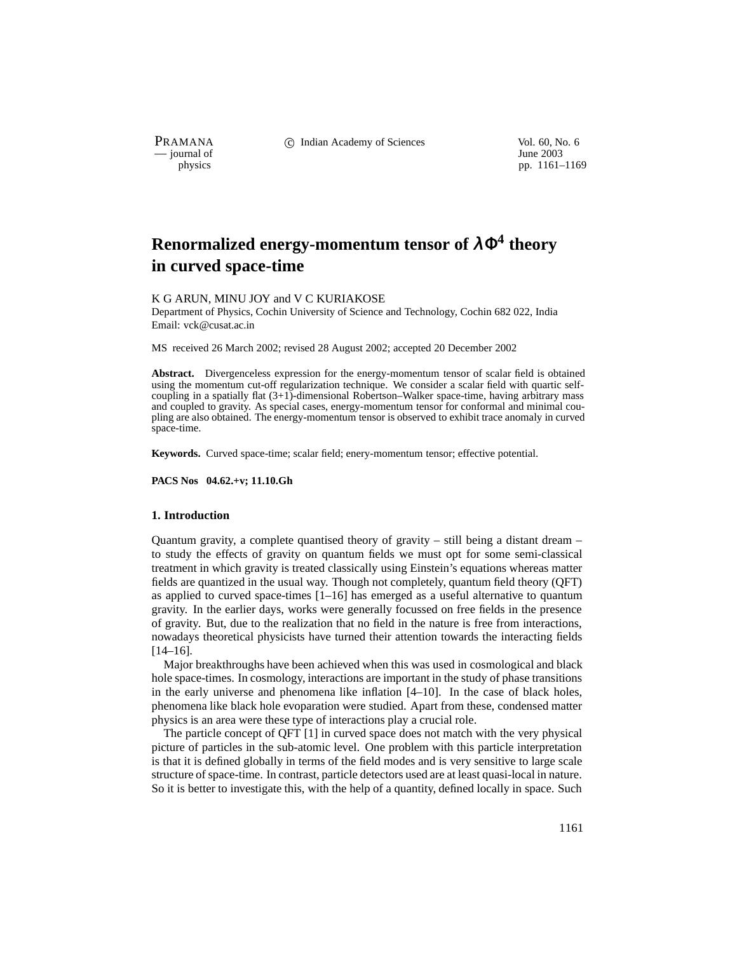— journal of<br>physics

PRAMANA 
<sup>c</sup> Indian Academy of Sciences 
<sup>Vol. 60, No. 6
<sup>1</sup> June 2003</sup>

pp. 1161–1169

# **Renormalized energy-momentum tensor of** <sup>λ</sup>Φ**<sup>4</sup> theory in curved space-time**

#### K G ARUN, MINU JOY and V C KURIAKOSE

Department of Physics, Cochin University of Science and Technology, Cochin 682 022, India Email: vck@cusat.ac.in

MS received 26 March 2002; revised 28 August 2002; accepted 20 December 2002

**Abstract.** Divergenceless expression for the energy-momentum tensor of scalar field is obtained using the momentum cut-off regularization technique. We consider a scalar field with quartic selfcoupling in a spatially flat (3+1)-dimensional Robertson–Walker space-time, having arbitrary mass and coupled to gravity. As special cases, energy-momentum tensor for conformal and minimal coupling are also obtained. The energy-momentum tensor is observed to exhibit trace anomaly in curved space-time.

**Keywords.** Curved space-time; scalar field; enery-momentum tensor; effective potential.

**PACS Nos 04.62.+v; 11.10.Gh**

## **1. Introduction**

Quantum gravity, a complete quantised theory of gravity – still being a distant dream – to study the effects of gravity on quantum fields we must opt for some semi-classical treatment in which gravity is treated classically using Einstein's equations whereas matter fields are quantized in the usual way. Though not completely, quantum field theory (QFT) as applied to curved space-times  $[1-16]$  has emerged as a useful alternative to quantum gravity. In the earlier days, works were generally focussed on free fields in the presence of gravity. But, due to the realization that no field in the nature is free from interactions, nowadays theoretical physicists have turned their attention towards the interacting fields [14–16].

Major breakthroughs have been achieved when this was used in cosmological and black hole space-times. In cosmology, interactions are important in the study of phase transitions in the early universe and phenomena like inflation [4–10]. In the case of black holes, phenomena like black hole evoparation were studied. Apart from these, condensed matter physics is an area were these type of interactions play a crucial role.

The particle concept of QFT [1] in curved space does not match with the very physical picture of particles in the sub-atomic level. One problem with this particle interpretation is that it is defined globally in terms of the field modes and is very sensitive to large scale structure of space-time. In contrast, particle detectors used are at least quasi-local in nature. So it is better to investigate this, with the help of a quantity, defined locally in space. Such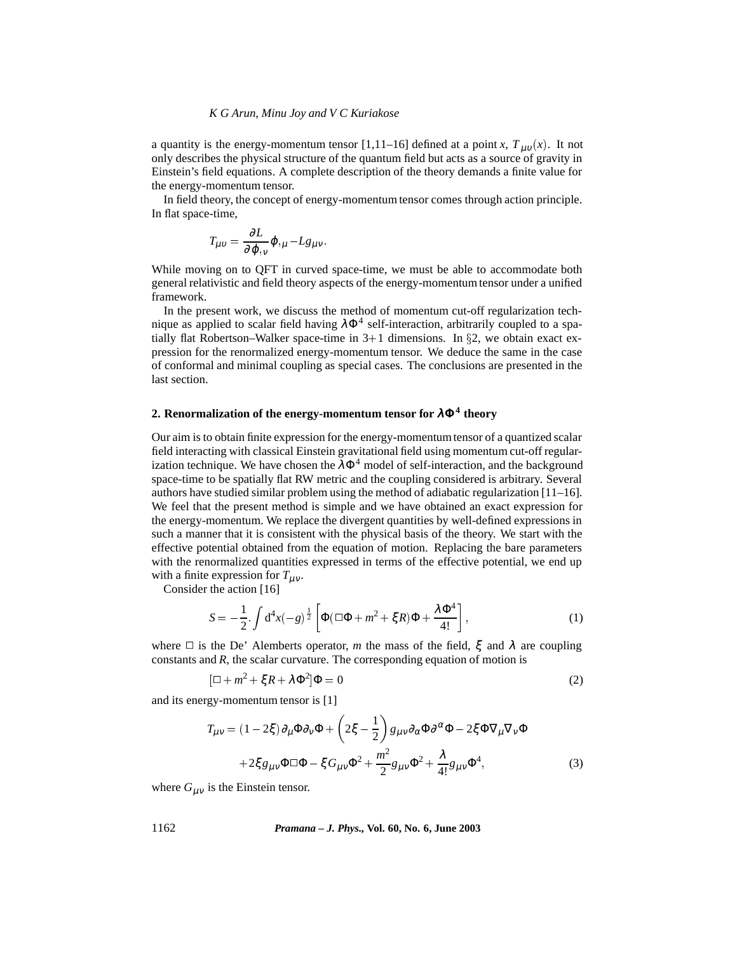a quantity is the energy-momentum tensor [1,11–16] defined at a point *x*,  $T_{\mu\nu}(x)$ . It not only describes the physical structure of the quantum field but acts as a source of gravity in Einstein's field equations. A complete description of the theory demands a finite value for the energy-momentum tensor.

In field theory, the concept of energy-momentum tensor comes through action principle. In flat space-time,

$$
T_{\mu\nu} = \frac{\partial L}{\partial \varphi_{,\nu}} \varphi_{,\mu} - Lg_{\mu\nu}.
$$

While moving on to QFT in curved space-time, we must be able to accommodate both general relativistic and field theory aspects of the energy-momentum tensor under a unified framework.

In the present work, we discuss the method of momentum cut-off regularization technique as applied to scalar field having  $\lambda \Phi^4$  self-interaction, arbitrarily coupled to a spatially flat Robertson–Walker space-time in  $3+1$  dimensions. In §2, we obtain exact expression for the renormalized energy-momentum tensor. We deduce the same in the case of conformal and minimal coupling as special cases. The conclusions are presented in the last section.

# **2. Renormalization of the energy-momentum tensor for** <sup>λ</sup>Φ**<sup>4</sup> theory**

Our aim is to obtain finite expression for the energy-momentum tensor of a quantized scalar field interacting with classical Einstein gravitational field using momentum cut-off regularization technique. We have chosen the  $\lambda \Phi^4$  model of self-interaction, and the background space-time to be spatially flat RW metric and the coupling considered is arbitrary. Several authors have studied similar problem using the method of adiabatic regularization [11–16]. We feel that the present method is simple and we have obtained an exact expression for the energy-momentum. We replace the divergent quantities by well-defined expressions in such a manner that it is consistent with the physical basis of the theory. We start with the effective potential obtained from the equation of motion. Replacing the bare parameters with the renormalized quantities expressed in terms of the effective potential, we end up with a finite expression for  $T_{\mu\nu}$ .

Consider the action [16]

$$
S = -\frac{1}{2} \int d^4x (-g)^{\frac{1}{2}} \left[ \Phi(\Box \Phi + m^2 + \xi R)\Phi + \frac{\lambda \Phi^4}{4!} \right],
$$
 (1)

where  $\Box$  is the De' Alemberts operator, *m* the mass of the field,  $\xi$  and  $\lambda$  are coupling constants and *R*, the scalar curvature. The corresponding equation of motion is

$$
[\Box + m^2 + \xi R + \lambda \Phi^2] \Phi = 0 \tag{2}
$$

and its energy-momentum tensor is [1]

$$
T_{\mu\nu} = (1 - 2\xi)\partial_{\mu}\Phi\partial_{\nu}\Phi + \left(2\xi - \frac{1}{2}\right)g_{\mu\nu}\partial_{\alpha}\Phi\partial^{\alpha}\Phi - 2\xi\Phi\nabla_{\mu}\nabla_{\nu}\Phi
$$

$$
+ 2\xi g_{\mu\nu}\Phi\Box\Phi - \xi G_{\mu\nu}\Phi^2 + \frac{m^2}{2}g_{\mu\nu}\Phi^2 + \frac{\lambda}{4!}g_{\mu\nu}\Phi^4,\tag{3}
$$

where  $G_{\mu\nu}$  is the Einstein tensor.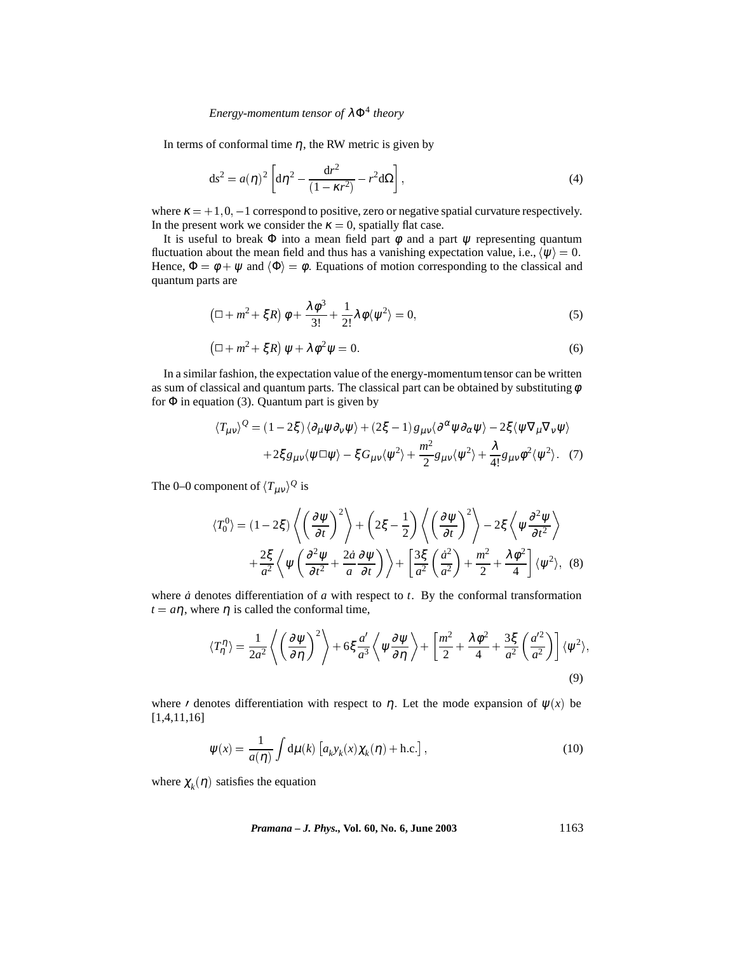# *Energy-momentum tensor of* <sup>λ</sup>Φ<sup>4</sup> *theory*

In terms of conformal time  $\eta$ , the RW metric is given by

$$
ds2 = a(\eta)2 \left[ d\eta2 - \frac{dr2}{(1 - \kappa r2)} - r2 d\Omega \right],
$$
 (4)

where  $\kappa = +1, 0, -1$  correspond to positive, zero or negative spatial curvature respectively. In the present work we consider the  $\kappa = 0$ , spatially flat case.

It is useful to break  $\Phi$  into a mean field part  $\phi$  and a part  $\psi$  representing quantum fluctuation about the mean field and thus has a vanishing expectation value, i.e.,  $\langle \psi \rangle = 0$ . Hence,  $\Phi = \phi + \psi$  and  $\langle \Phi \rangle = \phi$ . Equations of motion corresponding to the classical and quantum parts are

$$
\left(\Box + m^2 + \xi R\right)\phi + \frac{\lambda \phi^3}{3!} + \frac{1}{2!}\lambda \phi \langle \psi^2 \rangle = 0,\tag{5}
$$

$$
(\Box + m^2 + \xi R)\psi + \lambda \phi^2 \psi = 0. \tag{6}
$$

In a similar fashion, the expectation value of the energy-momentumtensor can be written as sum of classical and quantum parts. The classical part can be obtained by substituting  $\phi$ for  $\Phi$  in equation (3). Quantum part is given by

$$
\langle T_{\mu\nu}\rangle^{\mathcal{Q}} = (1 - 2\xi) \langle \partial_{\mu}\psi \partial_{\nu}\psi \rangle + (2\xi - 1) g_{\mu\nu} \langle \partial^{\alpha}\psi \partial_{\alpha}\psi \rangle - 2\xi \langle \psi \nabla_{\mu}\nabla_{\nu}\psi \rangle + 2\xi g_{\mu\nu} \langle \psi \Box \psi \rangle - \xi G_{\mu\nu} \langle \psi^2 \rangle + \frac{m^2}{2} g_{\mu\nu} \langle \psi^2 \rangle + \frac{\lambda}{4!} g_{\mu\nu} \phi^2 \langle \psi^2 \rangle. \tag{7}
$$

The 0–0 component of  $\langle T_{\mu\nu} \rangle^{\mathcal{Q}}$  is

$$
\langle T_0^0 \rangle = (1 - 2\xi) \left\langle \left( \frac{\partial \psi}{\partial t} \right)^2 \right\rangle + \left( 2\xi - \frac{1}{2} \right) \left\langle \left( \frac{\partial \psi}{\partial t} \right)^2 \right\rangle - 2\xi \left\langle \psi \frac{\partial^2 \psi}{\partial t^2} \right\rangle
$$
  
+ 
$$
\frac{2\xi}{a^2} \left\langle \psi \left( \frac{\partial^2 \psi}{\partial t^2} + \frac{2\dot{a}}{a} \frac{\partial \psi}{\partial t} \right) \right\rangle + \left[ \frac{3\xi}{a^2} \left( \frac{\dot{a}^2}{a^2} \right) + \frac{m^2}{2} + \frac{\lambda \phi^2}{4} \right] \langle \psi^2 \rangle, \quad (8)
$$

where  $\dot{a}$  denotes differentiation of  $a$  with respect to  $t$ . By the conformal transformation  $t = a\eta$ , where  $\eta$  is called the conformal time,

$$
\langle T_{\eta}^{\eta} \rangle = \frac{1}{2a^2} \left\langle \left( \frac{\partial \psi}{\partial \eta} \right)^2 \right\rangle + 6\xi \frac{a'}{a^3} \left\langle \psi \frac{\partial \psi}{\partial \eta} \right\rangle + \left[ \frac{m^2}{2} + \frac{\lambda \phi^2}{4} + \frac{3\xi}{a^2} \left( \frac{a'^2}{a^2} \right) \right] \langle \psi^2 \rangle, \tag{9}
$$

where *f* denotes differentiation with respect to  $\eta$ . Let the mode expansion of  $\psi(x)$  be [1,4,11,16]

$$
\psi(x) = \frac{1}{a(\eta)} \int d\mu(k) \left[ a_k y_k(x) \chi_k(\eta) + \text{h.c.} \right],\tag{10}
$$

where  $\chi_k(\eta)$  satisfies the equation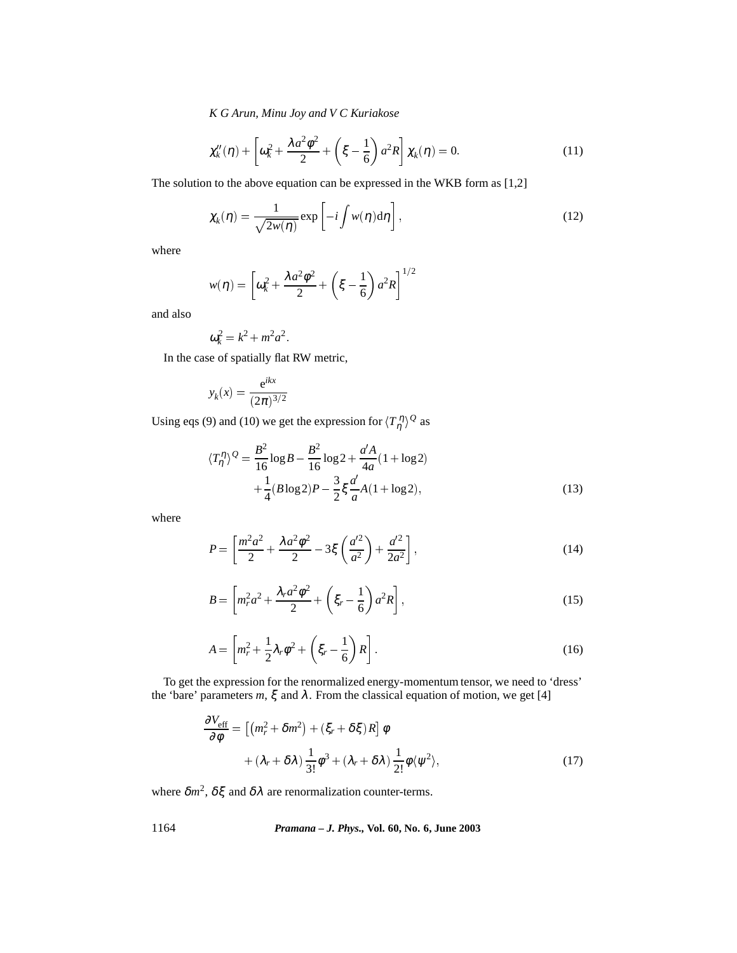*K G Arun, Minu Joy and V C Kuriakose*

$$
\chi_k''(\eta) + \left[\omega_k^2 + \frac{\lambda a^2 \phi^2}{2} + \left(\xi - \frac{1}{6}\right) a^2 R\right] \chi_k(\eta) = 0. \tag{11}
$$

The solution to the above equation can be expressed in the WKB form as [1,2]

$$
\chi_k(\eta) = \frac{1}{\sqrt{2w(\eta)}} \exp\left[-i \int w(\eta) d\eta\right],\tag{12}
$$

where

$$
w(\eta) = \left[\omega_k^2 + \frac{\lambda a^2 \phi^2}{2} + \left(\xi - \frac{1}{6}\right) a^2 R\right]^{1/2}
$$

and also

$$
\omega_k^2 = k^2 + m^2 a^2.
$$

In the case of spatially flat RW metric,

$$
y_k(x) = \frac{e^{ikx}}{(2\pi)^{3/2}}
$$

Using eqs (9) and (10) we get the expression for  $\langle T_{\eta}^{\eta} \rangle^{\mathcal{Q}}$  as

$$
\langle T_{\eta}^{\eta} \rangle^{\mathcal{Q}} = \frac{B^2}{16} \log B - \frac{B^2}{16} \log 2 + \frac{a'A}{4a} (1 + \log 2)
$$
  
 
$$
+ \frac{1}{4} (B \log 2) P - \frac{3}{2} \xi \frac{a'}{a} A (1 + \log 2), \tag{13}
$$

where

$$
P = \left[\frac{m^2 a^2}{2} + \frac{\lambda a^2 \phi^2}{2} - 3\xi \left(\frac{a'^2}{a^2}\right) + \frac{a'^2}{2a^2}\right],
$$
 (14)

$$
B = \left[ m_r^2 a^2 + \frac{\lambda_r a^2 \phi^2}{2} + \left( \xi_r - \frac{1}{6} \right) a^2 R \right],
$$
 (15)

$$
A = \left[ m_r^2 + \frac{1}{2} \lambda_r \phi^2 + \left( \xi_r - \frac{1}{6} \right) R \right].
$$
 (16)

To get the expression for the renormalized energy-momentum tensor, we need to 'dress' the 'bare' parameters  $m, \xi$  and  $\lambda$ . From the classical equation of motion, we get [4]

$$
\frac{\partial V_{\text{eff}}}{\partial \phi} = \left[ \left( m_r^2 + \delta m^2 \right) + \left( \xi_r + \delta \xi \right) R \right] \phi + \left( \lambda_r + \delta \lambda \right) \frac{1}{3!} \phi^3 + \left( \lambda_r + \delta \lambda \right) \frac{1}{2!} \phi \langle \psi^2 \rangle,
$$
\n(17)

where  $\delta m^2$ ,  $\delta \xi$  and  $\delta \lambda$  are renormalization counter-terms.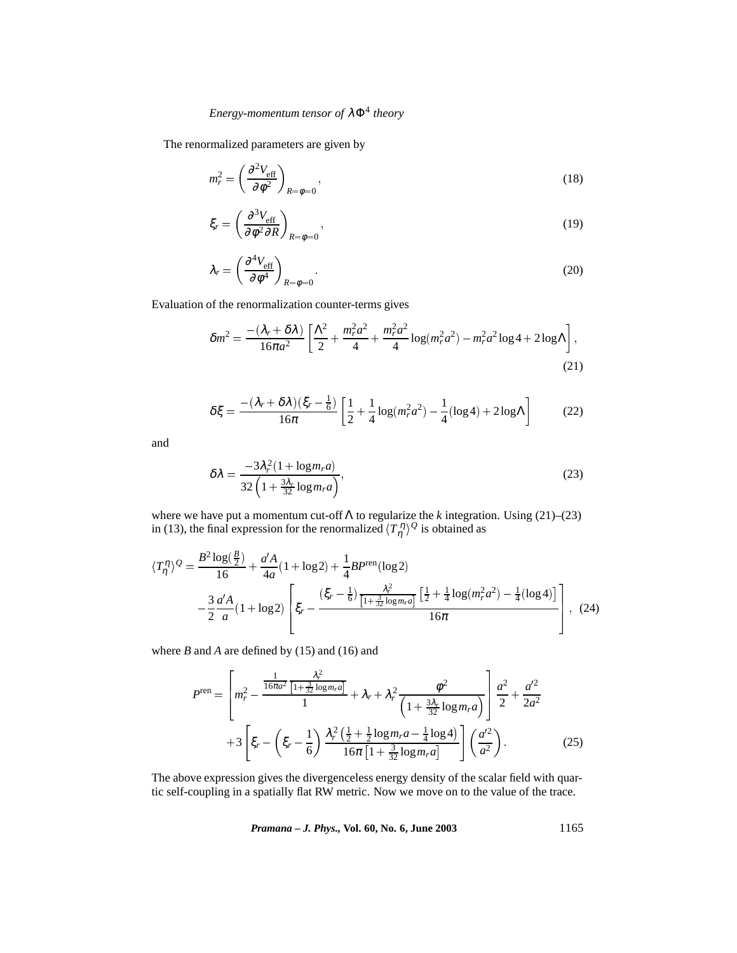The renormalized parameters are given by

$$
m_r^2 = \left(\frac{\partial^2 V_{\text{eff}}}{\partial \phi^2}\right)_{R=\phi=0},\tag{18}
$$

$$
\xi_r = \left(\frac{\partial^3 V_{\text{eff}}}{\partial \phi^2 \partial R}\right)_{R=\phi=0},\tag{19}
$$

$$
\lambda_r = \left(\frac{\partial^4 V_{\text{eff}}}{\partial \phi^4}\right)_{R=\phi=0}.\tag{20}
$$

Evaluation of the renormalization counter-terms gives

$$
\delta m^2 = \frac{- (\lambda_r + \delta \lambda)}{16\pi a^2} \left[ \frac{\Lambda^2}{2} + \frac{m_r^2 a^2}{4} + \frac{m_r^2 a^2}{4} \log(m_r^2 a^2) - m_r^2 a^2 \log 4 + 2 \log \Lambda \right],
$$
\n(21)

$$
\delta \xi = \frac{- (\lambda_r + \delta \lambda)(\xi_r - \frac{1}{6})}{16\pi} \left[ \frac{1}{2} + \frac{1}{4} \log(m_r^2 a^2) - \frac{1}{4} (\log 4) + 2 \log \Lambda \right]
$$
(22)

and

$$
\delta\lambda = \frac{-3\lambda_r^2 (1 + \log m_r a)}{32 \left(1 + \frac{3\lambda_r}{32} \log m_r a\right)},\tag{23}
$$

where we have put a momentum cut-off Λ to regularize the *k* integration. Using (21)–(23) in (13), the final expression for the renormalized  $\langle T_{\eta}^{\eta} \rangle^{\mathcal{Q}}$  is obtained as

$$
\langle T_{\eta}^{\eta} \rangle^{\mathcal{Q}} = \frac{B^2 \log(\frac{B}{2})}{16} + \frac{a'A}{4a} (1 + \log 2) + \frac{1}{4} B P^{\text{ren}}(\log 2)
$$

$$
- \frac{3}{2} \frac{a'A}{a} (1 + \log 2) \left[ \xi_r - \frac{(\xi_r - \frac{1}{6}) \frac{\lambda_r^2}{[1 + \frac{3}{32} \log m_r a]} \left[ \frac{1}{2} + \frac{1}{4} \log(m_r^2 a^2) - \frac{1}{4} (\log 4) \right]}{16 \pi} \right], \quad (24)
$$

where *B* and *A* are defined by (15) and (16) and

$$
P^{\text{ren}} = \left[ m_r^2 - \frac{\frac{1}{16\pi a^2} \frac{\lambda_r^2}{[1 + \frac{3}{32} \log m_r a]}}{1} + \lambda_r + \lambda_r^2 \frac{\phi^2}{\left(1 + \frac{3\lambda_r}{32} \log m_r a\right)} \right] \frac{a^2}{2} + \frac{a'^2}{2a^2} + 3 \left[ \xi_r - \left(\xi_r - \frac{1}{6}\right) \frac{\lambda_r^2 \left(\frac{1}{2} + \frac{1}{2} \log m_r a - \frac{1}{4} \log 4\right)}{16\pi \left[1 + \frac{3}{32} \log m_r a\right]} \right] \left(\frac{a'^2}{a^2}\right).
$$
 (25)

The above expression gives the divergenceless energy density of the scalar field with quartic self-coupling in a spatially flat RW metric. Now we move on to the value of the trace.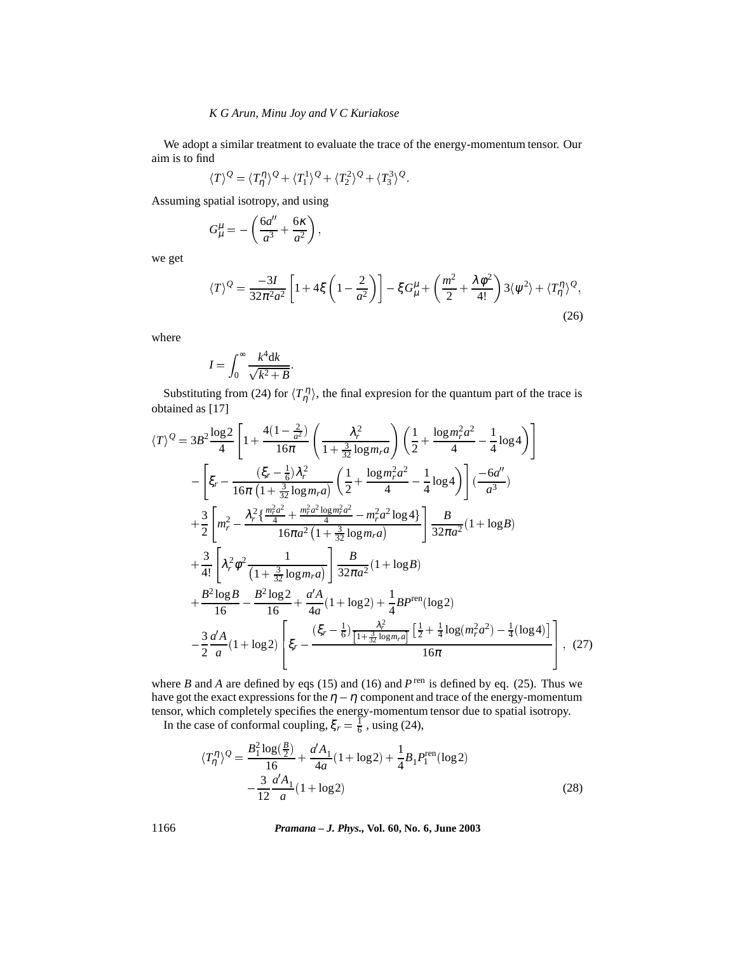#### *K G Arun, Minu Joy and V C Kuriakose*

We adopt a similar treatment to evaluate the trace of the energy-momentum tensor. Our aim is to find

$$
\langle T\rangle^{\mathcal{Q}} = \langle T_{\eta}^{\eta}\rangle^{\mathcal{Q}} + \langle T_{1}^{1}\rangle^{\mathcal{Q}} + \langle T_{2}^{2}\rangle^{\mathcal{Q}} + \langle T_{3}^{3}\rangle^{\mathcal{Q}}.
$$

Assuming spatial isotropy, and using

$$
G^{\mu}_{\mu} = -\left(\frac{6a^{\prime\prime}}{a^3} + \frac{6\kappa}{a^2}\right),
$$

we get

$$
\langle T \rangle^{\mathcal{Q}} = \frac{-3I}{32\pi^2 a^2} \left[ 1 + 4\xi \left( 1 - \frac{2}{a^2} \right) \right] - \xi G^{\mu}_{\mu} + \left( \frac{m^2}{2} + \frac{\lambda \phi^2}{4!} \right) 3 \langle \psi^2 \rangle + \langle T^{\eta}_{\eta} \rangle^{\mathcal{Q}}, \tag{26}
$$

where

$$
I = \int_0^\infty \frac{k^4 \mathrm{d}k}{\sqrt{k^2 + B}}.
$$

Substituting from (24) for  $\langle T_{\eta}^{\eta} \rangle$ , the final expresion for the quantum part of the trace is obtained as [17]

$$
\langle T \rangle^{\mathcal{Q}} = 3B^{2} \frac{\log 2}{4} \left[ 1 + \frac{4(1 - \frac{2}{a^{2}})}{16\pi} \left( \frac{\lambda_{r}^{2}}{1 + \frac{3}{32} \log m_{r} a} \right) \left( \frac{1}{2} + \frac{\log m_{r}^{2} a^{2}}{4} - \frac{1}{4} \log 4 \right) \right]
$$
  
\n
$$
- \left[ \xi_{r} - \frac{(\xi_{r} - \frac{1}{6})\lambda_{r}^{2}}{16\pi \left( 1 + \frac{3}{32} \log m_{r} a \right)} \left( \frac{1}{2} + \frac{\log m_{r}^{2} a^{2}}{4} - \frac{1}{4} \log 4 \right) \right] \left( \frac{-6a''}{a^{3}} \right)
$$
  
\n
$$
+ \frac{3}{2} \left[ m_{r}^{2} - \frac{\lambda_{r}^{2} \left\{ \frac{m_{r}^{2} a^{2}}{4} + \frac{m_{r}^{2} a^{2} \log m_{r}^{2} a^{2}}{16\pi a^{2} \left( 1 + \frac{3}{32} \log m_{r} a \right)} - m_{r}^{2} a^{2} \log 4 \right} \right] \frac{B}{32\pi a^{2}} (1 + \log B)
$$
  
\n
$$
+ \frac{3}{4!} \left[ \lambda_{r}^{2} \phi^{2} \frac{1}{\left( 1 + \frac{3}{32} \log m_{r} a \right)} \right] \frac{B}{32\pi a^{2}} (1 + \log B)
$$
  
\n
$$
+ \frac{B^{2} \log B}{16} - \frac{B^{2} \log 2}{16} + \frac{a' A}{4a} (1 + \log 2) + \frac{1}{4} B P^{\text{ren}} (\log 2)
$$
  
\n
$$
- \frac{3}{2} \frac{a' A}{a} (1 + \log 2) \left[ \xi_{r} - \frac{(\xi_{r} - \frac{1}{6}) \frac{\lambda_{r}^{2}}{\left[ 1 + \frac{3}{32} \log m_{r} a \right]} \left[ \frac{1}{2} + \frac{1}{4} \log (m_{r}^{2} a^{2}) - \frac{1}{4} (\log 4) \right]} \right], (27
$$

where *B* and *A* are defined by eqs (15) and (16) and  $P^{\text{ren}}$  is defined by eq. (25). Thus we have got the exact expressions for the  $\eta - \eta$  component and trace of the energy-momentum tensor, which completely specifies the energy-momentum tensor due to spatial isotropy.

In the case of conformal coupling,  $\xi_r = \frac{1}{6}$ , using (24),

$$
\langle T_{\eta}^{\eta} \rangle^{\mathcal{Q}} = \frac{B_1^2 \log(\frac{B}{2})}{16} + \frac{a'A_1}{4a} (1 + \log 2) + \frac{1}{4} B_1 P_1^{\text{ren}}(\log 2)
$$

$$
- \frac{3}{12} \frac{a'A_1}{a} (1 + \log 2) \tag{28}
$$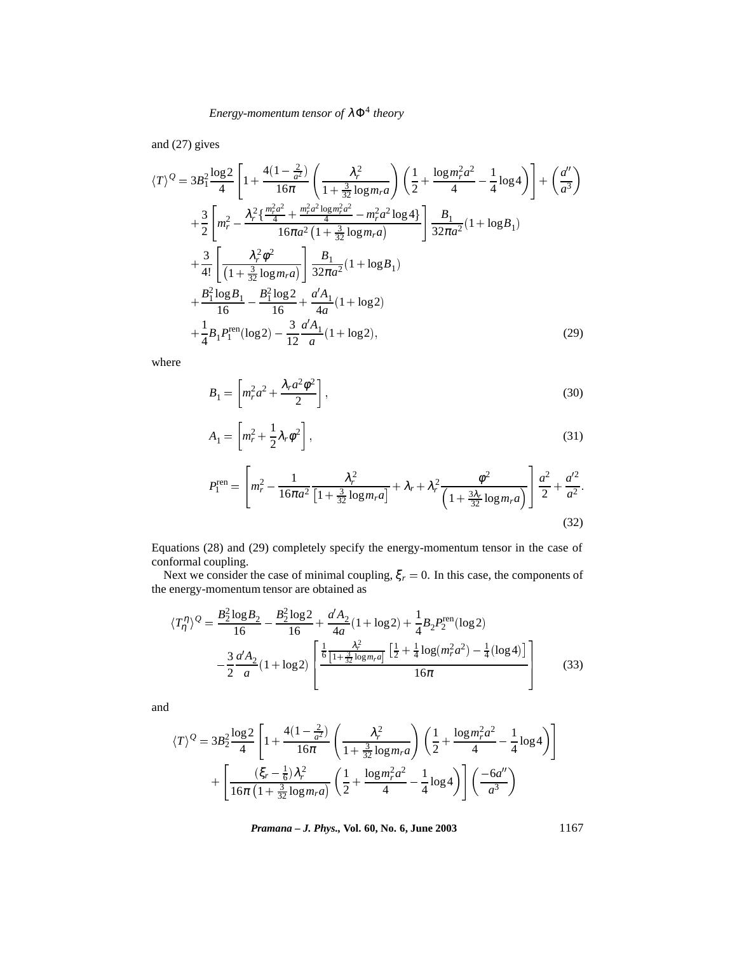and (27) gives

$$
\langle T \rangle^{\mathcal{Q}} = 3B_1^2 \frac{\log 2}{4} \left[ 1 + \frac{4(1 - \frac{2}{a^2})}{16\pi} \left( \frac{\lambda_r^2}{1 + \frac{3}{32} \log m_r a} \right) \left( \frac{1}{2} + \frac{\log m_r^2 a^2}{4} - \frac{1}{4} \log 4 \right) \right] + \left( \frac{a''}{a^3} \right)
$$
  
+ 
$$
\frac{3}{2} \left[ m_r^2 - \frac{\lambda_r^2 \left( \frac{m_r^2 a^2}{4} + \frac{m_r^2 a^2 \log m_r^2 a^2}{4} - m_r^2 a^2 \log 4 \right)}{16\pi a^2 \left( 1 + \frac{3}{32} \log m_r a \right)} \right] \frac{B_1}{32\pi a^2} (1 + \log B_1)
$$
  
+ 
$$
\frac{3}{4!} \left[ \frac{\lambda_r^2 \phi^2}{(1 + \frac{3}{32} \log m_r a)} \right] \frac{B_1}{32\pi a^2} (1 + \log B_1)
$$
  
+ 
$$
\frac{B_1^2 \log B_1}{16} - \frac{B_1^2 \log 2}{16} + \frac{a' A_1}{4a} (1 + \log 2)
$$
  
+ 
$$
\frac{1}{4} B_1 P_1^{\text{ren}} (\log 2) - \frac{3}{12} \frac{a' A_1}{a} (1 + \log 2), \tag{29}
$$

where

$$
B_1 = \left[ m_r^2 a^2 + \frac{\lambda_r a^2 \phi^2}{2} \right],\tag{30}
$$

$$
A_1 = \left[ m_r^2 + \frac{1}{2} \lambda_r \phi^2 \right],\tag{31}
$$

$$
P_1^{\text{ren}} = \left[ m_r^2 - \frac{1}{16\pi a^2} \frac{\lambda_r^2}{\left[ 1 + \frac{3}{32} \log m_r a \right]} + \lambda_r + \lambda_r^2 \frac{\phi^2}{\left( 1 + \frac{3\lambda_r}{32} \log m_r a \right)} \right] \frac{a^2}{2} + \frac{a'^2}{a^2}.
$$
\n(32)

Equations (28) and (29) completely specify the energy-momentum tensor in the case of conformal coupling.

Next we consider the case of minimal coupling,  $\xi_r = 0$ . In this case, the components of the energy-momentum tensor are obtained as

$$
\langle T_{\eta}^{\eta} \rangle^{\mathcal{Q}} = \frac{B_2^2 \log B_2}{16} - \frac{B_2^2 \log 2}{16} + \frac{a'A_2}{4a} (1 + \log 2) + \frac{1}{4} B_2 P_2^{\text{ren}}(\log 2)
$$

$$
- \frac{3}{2} \frac{a'A_2}{a} (1 + \log 2) \left[ \frac{\frac{1}{6} \frac{\lambda_r^2}{[1 + \frac{3}{32} \log m_r a]} \left[ \frac{1}{2} + \frac{1}{4} \log(m_r^2 a^2) - \frac{1}{4} (\log 4) \right]}{16 \pi} \right]
$$
(33)

and

$$
\langle T \rangle^{\mathcal{Q}} = 3B_2^2 \frac{\log 2}{4} \left[ 1 + \frac{4(1 - \frac{2}{a^2})}{16\pi} \left( \frac{\lambda_r^2}{1 + \frac{3}{32} \log m_r a} \right) \left( \frac{1}{2} + \frac{\log m_r^2 a^2}{4} - \frac{1}{4} \log 4 \right) \right] + \left[ \frac{(\xi_r - \frac{1}{6})\lambda_r^2}{16\pi \left( 1 + \frac{3}{32} \log m_r a \right)} \left( \frac{1}{2} + \frac{\log m_r^2 a^2}{4} - \frac{1}{4} \log 4 \right) \right] \left( \frac{-6a''}{a^3} \right)
$$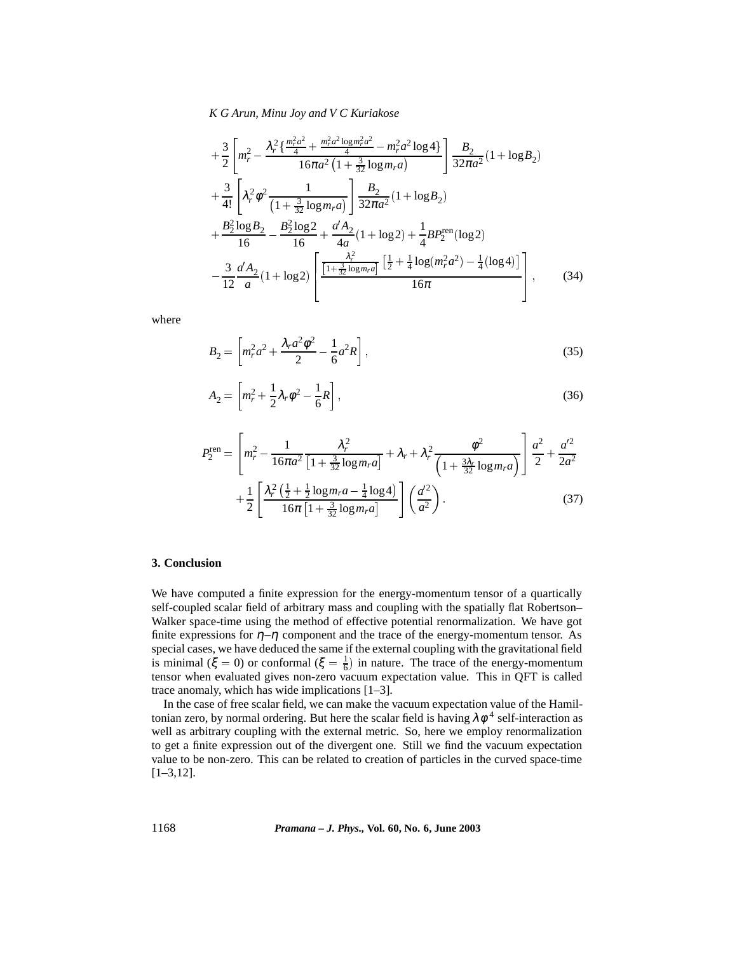*K G Arun, Minu Joy and V C Kuriakose*

$$
+\frac{3}{2}\left[m_r^2 - \frac{\lambda_r^2 \left\{\frac{m_r^2 a^2}{4} + \frac{m_r^2 a^2 \log m_r^2 a^2}{4} - m_r^2 a^2 \log 4\right\}}{16\pi a^2 \left(1 + \frac{3}{32} \log m_r a\right)}\right] \frac{B_2}{32\pi a^2} (1 + \log B_2)
$$
  
+
$$
\frac{3}{4!} \left[\lambda_r^2 \phi^2 \frac{1}{\left(1 + \frac{3}{32} \log m_r a\right)}\right] \frac{B_2}{32\pi a^2} (1 + \log B_2)
$$
  
+
$$
\frac{B_2^2 \log B_2}{16} - \frac{B_2^2 \log 2}{16} + \frac{a'A_2}{4a} (1 + \log 2) + \frac{1}{4} BP_2^{\text{ren}} (\log 2)
$$
  
-
$$
\frac{3}{12} \frac{a'A_2}{a} (1 + \log 2) \left[\frac{\frac{\lambda_r^2}{1 + \frac{3}{32} \log m_r a}}{\frac{1 + \frac{3}{32} \log m_r a}}\right] \frac{\left[\frac{1}{2} + \frac{1}{4} \log (m_r^2 a^2) - \frac{1}{4} (\log 4)\right]}{16\pi} \right],
$$
(34)

where

$$
B_2 = \left[ m_r^2 a^2 + \frac{\lambda_r a^2 \phi^2}{2} - \frac{1}{6} a^2 R \right],
$$
\n(35)

$$
A_2 = \left[ m_r^2 + \frac{1}{2} \lambda_r \phi^2 - \frac{1}{6} R \right],
$$
\n(36)

$$
P_2^{\text{ren}} = \left[ m_r^2 - \frac{1}{16\pi a^2} \frac{\lambda_r^2}{\left[ 1 + \frac{3}{32} \log m_r a \right]} + \lambda_r + \lambda_r^2 \frac{\phi^2}{\left( 1 + \frac{3\lambda_r}{32} \log m_r a \right)} \right] \frac{a^2}{2} + \frac{a'^2}{2a^2} + \frac{1}{2} \left[ \frac{\lambda_r^2 \left( \frac{1}{2} + \frac{1}{2} \log m_r a - \frac{1}{4} \log 4 \right)}{16\pi \left[ 1 + \frac{3}{32} \log m_r a \right]} \right] \left( \frac{a'^2}{a^2} \right). \tag{37}
$$

## **3. Conclusion**

We have computed a finite expression for the energy-momentum tensor of a quartically self-coupled scalar field of arbitrary mass and coupling with the spatially flat Robertson– Walker space-time using the method of effective potential renormalization. We have got finite expressions for  $\eta$ – $\eta$  component and the trace of the energy-momentum tensor. As special cases, we have deduced the same if the external coupling with the gravitational field is minimal ( $\xi = 0$ ) or conformal ( $\xi = \frac{1}{6}$ ) in nature. The trace of the energy-momentum tensor when evaluated gives non-zero vacuum expectation value. This in QFT is called trace anomaly, which has wide implications [1–3].

In the case of free scalar field, we can make the vacuum expectation value of the Hamiltonian zero, by normal ordering. But here the scalar field is having  $\lambda \phi^4$  self-interaction as well as arbitrary coupling with the external metric. So, here we employ renormalization to get a finite expression out of the divergent one. Still we find the vacuum expectation value to be non-zero. This can be related to creation of particles in the curved space-time [1–3,12].